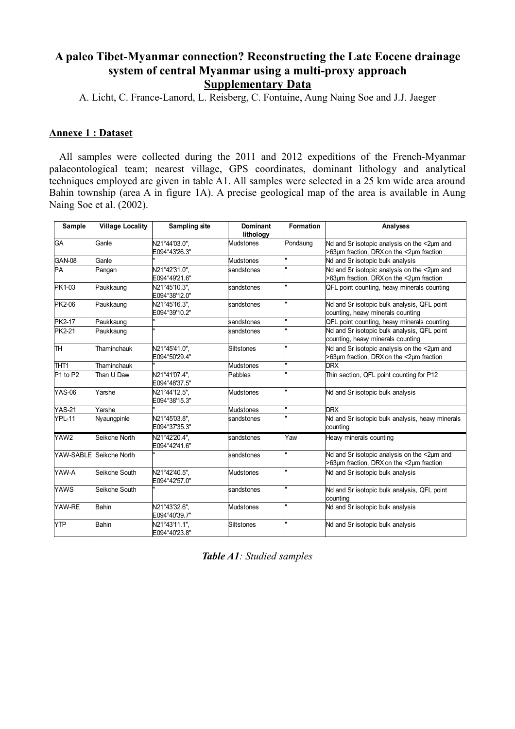# **A paleo Tibet-Myanmar connection? Reconstructing the Late Eocene drainage system of central Myanmar using a multi-proxy approach Supplementary Data**

A. Licht, C. France-Lanord, L. Reisberg, C. Fontaine, Aung Naing Soe and J.J. Jaeger

### **Annexe 1 : Dataset**

 All samples were collected during the 2011 and 2012 expeditions of the French-Myanmar palaeontological team; nearest village, GPS coordinates, dominant lithology and analytical techniques employed are given in table A1. All samples were selected in a 25 km wide area around Bahin township (area A in figure 1A). A precise geological map of the area is available in Aung Naing Soe et al. (2002).

| Sample           | <b>Village Locality</b> | Sampling site                  | <b>Dominant</b><br>lithology | <b>Formation</b> | Analyses                                                                                          |
|------------------|-------------------------|--------------------------------|------------------------------|------------------|---------------------------------------------------------------------------------------------------|
| <b>GA</b>        | Ganle                   | N21°44'03.0".<br>E094°43'26.3" | Mudstones                    | Pondaung         | Nd and Sr isotopic analysis on the <2um and<br>>63um fraction, DRX on the <2um fraction           |
| GAN-08           | Ganle                   |                                | <b>Mudstones</b>             | $\mathbf{u}$     | Nd and Sr isotopic bulk analysis                                                                  |
| PA               | Pangan                  | N21°42'31.0".<br>E094°49'21.6" | sandstones                   | $\mathbf{u}$     | Nd and Sr isotopic analysis on the <2um and<br>$>63\mu m$ fraction, DRX on the $<2\mu m$ fraction |
| PK1-03           | Paukkaung               | N21°45'10.3",<br>E094°38'12.0" | sandstones                   | $\mathbf{u}$     | QFL point counting, heavy minerals counting                                                       |
| <b>PK2-06</b>    | Paukkaung               | N21°45'16.3".<br>E094°39'10.2" | sandstones                   | u.               | Nd and Sr isotopic bulk analysis, QFL point<br>counting, heavy minerals counting                  |
| PK2-17           | Paukkaung               |                                | sandstones                   | $\mathbf{u}$     | QFL point counting, heavy minerals counting                                                       |
| <b>PK2-21</b>    | Paukkaung               | u.                             | sandstones                   | $\mathbf{u}$     | Nd and Sr isotopic bulk analysis, QFL point<br>counting, heavy minerals counting                  |
| lтн              | Thaminchauk             | N21°45'41.0",<br>E094°50'29.4" | <b>Siltstones</b>            | $\mathbf{u}$     | Nd and Sr isotopic analysis on the <2um and<br>>63um fraction, DRX on the <2um fraction           |
| THT1             | Thaminchauk             |                                | Mudstones                    | $\mathbf{u}$     | <b>DRX</b>                                                                                        |
| $P1$ to $P2$     | Than U Daw              | N21°41'07.4",<br>E094°48'37.5" | Pebbles                      | $\mathbf{u}$     | Thin section, QFL point counting for P12                                                          |
| <b>YAS-06</b>    | Yarshe                  | N21°44'12.5".<br>E094°38'15.3" | Mudstones                    | $\mathbf{u}$     | Nd and Sr isotopic bulk analysis                                                                  |
| <b>YAS-21</b>    | Yarshe                  | $\blacksquare$                 | Mudstones                    | u.               | <b>DRX</b>                                                                                        |
| <b>YPL-11</b>    | Nyaungpinle             | N21°45'03.8",<br>E094°37'35.3" | sandstones                   | ı.               | Nd and Sr isotopic bulk analysis, heavy minerals<br>counting                                      |
| YAW <sub>2</sub> | Seikche North           | N21°42'20.4".<br>E094°42'41.6" | sandstones                   | Yaw              | Heavy minerals counting                                                                           |
|                  | YAW-SABLE Seikche North |                                | sandstones                   | u.               | Nd and Sr isotopic analysis on the <2um and<br>>63µm fraction, DRX on the <2µm fraction           |
| YAW-A            | Seikche South           | N21°42'40.5".<br>E094°42'57.0" | Mudstones                    | H.               | Nd and Sr isotopic bulk analysis                                                                  |
| <b>YAWS</b>      | Seikche South           |                                | sandstones                   | u.               | Nd and Sr isotopic bulk analysis, QFL point<br>counting                                           |
| YAW-RE           | Bahin                   | N21°43'32.6",<br>E094°40'39.7" | Mudstones                    | H                | Nd and Sr isotopic bulk analysis                                                                  |
| <b>YTP</b>       | <b>Bahin</b>            | N21°43'11.1",<br>E094°40'23.8" | Siltstones                   | u.               | Nd and Sr isotopic bulk analysis                                                                  |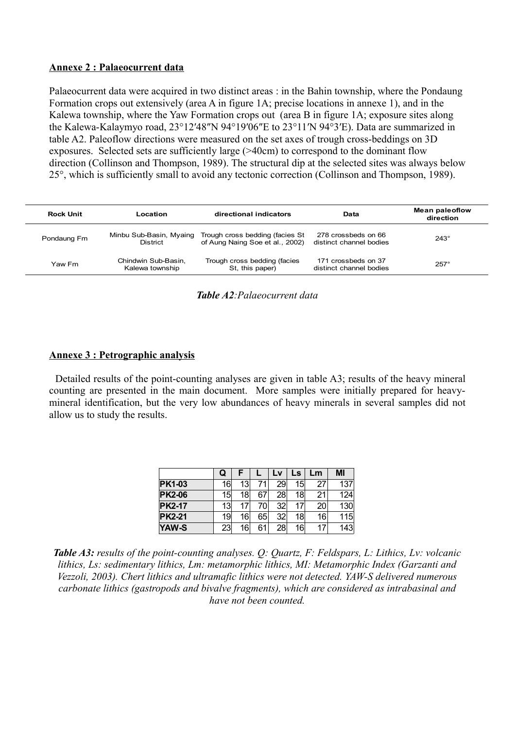### **Annexe 2 : Palaeocurrent data**

Palaeocurrent data were acquired in two distinct areas : in the Bahin township, where the Pondaung Formation crops out extensively (area A in figure 1A; precise locations in annexe 1), and in the Kalewa township, where the Yaw Formation crops out (area B in figure 1A; exposure sites along the Kalewa-Kalaymyo road, 23°12′48″N 94°19′06″E to 23°11′N 94°3′E). Data are summarized in table A2. Paleoflow directions were measured on the set axes of trough cross-beddings on 3D exposures. Selected sets are sufficiently large (>40cm) to correspond to the dominant flow direction (Collinson and Thompson, 1989). The structural dip at the selected sites was always below 25°, which is sufficiently small to avoid any tectonic correction (Collinson and Thompson, 1989).

| Rock Unit   | ∟ocation                                   | directional indicators                                              | Data                                           | <b>Mean paleoflow</b><br>direction |  |
|-------------|--------------------------------------------|---------------------------------------------------------------------|------------------------------------------------|------------------------------------|--|
| Pondaung Fm | Minbu Sub-Basin, Myaing<br><b>District</b> | Trough cross bedding (facies St.<br>of Aung Naing Soe et al., 2002) | 278 crossbeds on 66<br>distinct channel bodies | $243^\circ$                        |  |
| Yaw Fm      | Chindwin Sub-Basin.<br>Kalewa township     | Trough cross bedding (facies<br>St, this paper)                     | 171 crossbeds on 37<br>distinct channel bodies | $257^\circ$                        |  |

|  | Table A2: Palaeocurrent data |  |
|--|------------------------------|--|
|--|------------------------------|--|

## **Annexe 3 : Petrographic analysis**

 Detailed results of the point-counting analyses are given in table A3; results of the heavy mineral counting are presented in the main document. More samples were initially prepared for heavymineral identification, but the very low abundances of heavy minerals in several samples did not allow us to study the results.

|               | Q               |    |    | L۷              | LS | Lm | MI  |
|---------------|-----------------|----|----|-----------------|----|----|-----|
| <b>PK1-03</b> | 16              | 13 | 71 | 29              | 15 | 27 | 137 |
| <b>PK2-06</b> | 15              | 18 | 67 | 28              | 18 | 21 | 124 |
| <b>PK2-17</b> | 13              |    | 70 | 32              | 17 | 20 | 130 |
| <b>PK2-21</b> | 19              | 16 | 65 | 32 <sub>0</sub> | 18 | 16 | 115 |
| YAW-S         | 23 <sub>1</sub> | 16 | 61 | 28              | 16 | 17 | 143 |

*Table A3: results of the point-counting analyses. Q: Quartz, F: Feldspars, L: Lithics, Lv: volcanic lithics, Ls: sedimentary lithics, Lm: metamorphic lithics, MI: Metamorphic Index (Garzanti and Vezzoli, 2003). Chert lithics and ultramafic lithics were not detected. YAW-S delivered numerous carbonate lithics (gastropods and bivalve fragments), which are considered as intrabasinal and have not been counted.*